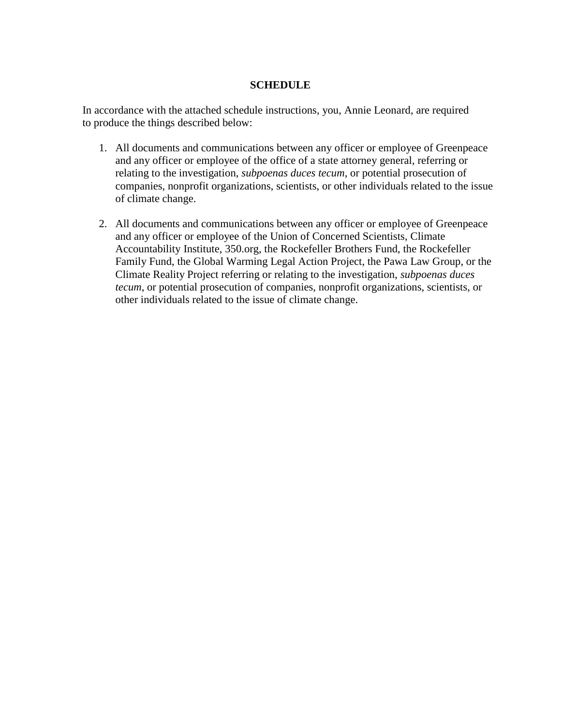## **SCHEDULE**

In accordance with the attached schedule instructions, you, Annie Leonard, are required to produce the things described below:

- 1. All documents and communications between any officer or employee of Greenpeace and any officer or employee of the office of a state attorney general, referring or relating to the investigation, *subpoenas duces tecum*, or potential prosecution of companies, nonprofit organizations, scientists, or other individuals related to the issue of climate change.
- 2. All documents and communications between any officer or employee of Greenpeace and any officer or employee of the Union of Concerned Scientists, Climate Accountability Institute, 350.org, the Rockefeller Brothers Fund, the Rockefeller Family Fund, the Global Warming Legal Action Project, the Pawa Law Group, or the Climate Reality Project referring or relating to the investigation, *subpoenas duces tecum*, or potential prosecution of companies, nonprofit organizations, scientists, or other individuals related to the issue of climate change.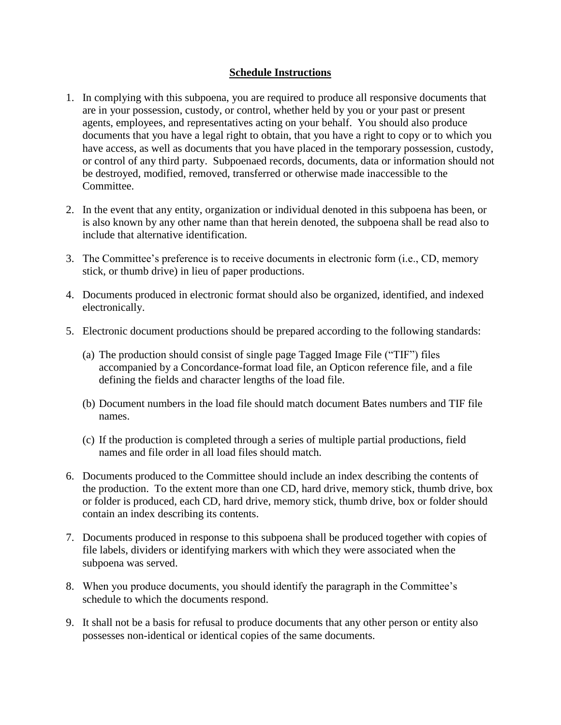## **Schedule Instructions**

- 1. In complying with this subpoena, you are required to produce all responsive documents that are in your possession, custody, or control, whether held by you or your past or present agents, employees, and representatives acting on your behalf. You should also produce documents that you have a legal right to obtain, that you have a right to copy or to which you have access, as well as documents that you have placed in the temporary possession, custody, or control of any third party. Subpoenaed records, documents, data or information should not be destroyed, modified, removed, transferred or otherwise made inaccessible to the Committee.
- 2. In the event that any entity, organization or individual denoted in this subpoena has been, or is also known by any other name than that herein denoted, the subpoena shall be read also to include that alternative identification.
- 3. The Committee's preference is to receive documents in electronic form (i.e., CD, memory stick, or thumb drive) in lieu of paper productions.
- 4. Documents produced in electronic format should also be organized, identified, and indexed electronically.
- 5. Electronic document productions should be prepared according to the following standards:
	- (a) The production should consist of single page Tagged Image File ("TIF") files accompanied by a Concordance-format load file, an Opticon reference file, and a file defining the fields and character lengths of the load file.
	- (b) Document numbers in the load file should match document Bates numbers and TIF file names.
	- (c) If the production is completed through a series of multiple partial productions, field names and file order in all load files should match.
- 6. Documents produced to the Committee should include an index describing the contents of the production. To the extent more than one CD, hard drive, memory stick, thumb drive, box or folder is produced, each CD, hard drive, memory stick, thumb drive, box or folder should contain an index describing its contents.
- 7. Documents produced in response to this subpoena shall be produced together with copies of file labels, dividers or identifying markers with which they were associated when the subpoena was served.
- 8. When you produce documents, you should identify the paragraph in the Committee's schedule to which the documents respond.
- 9. It shall not be a basis for refusal to produce documents that any other person or entity also possesses non-identical or identical copies of the same documents.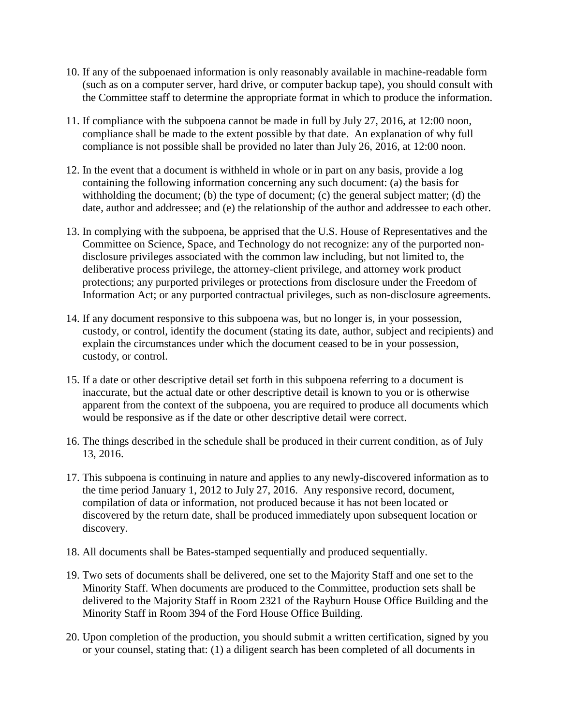- 10. If any of the subpoenaed information is only reasonably available in machine-readable form (such as on a computer server, hard drive, or computer backup tape), you should consult with the Committee staff to determine the appropriate format in which to produce the information.
- 11. If compliance with the subpoena cannot be made in full by July 27, 2016, at 12:00 noon, compliance shall be made to the extent possible by that date. An explanation of why full compliance is not possible shall be provided no later than July 26, 2016, at 12:00 noon.
- 12. In the event that a document is withheld in whole or in part on any basis, provide a log containing the following information concerning any such document: (a) the basis for withholding the document; (b) the type of document; (c) the general subject matter; (d) the date, author and addressee; and (e) the relationship of the author and addressee to each other.
- 13. In complying with the subpoena, be apprised that the U.S. House of Representatives and the Committee on Science, Space, and Technology do not recognize: any of the purported nondisclosure privileges associated with the common law including, but not limited to, the deliberative process privilege, the attorney-client privilege, and attorney work product protections; any purported privileges or protections from disclosure under the Freedom of Information Act; or any purported contractual privileges, such as non-disclosure agreements.
- 14. If any document responsive to this subpoena was, but no longer is, in your possession, custody, or control, identify the document (stating its date, author, subject and recipients) and explain the circumstances under which the document ceased to be in your possession, custody, or control.
- 15. If a date or other descriptive detail set forth in this subpoena referring to a document is inaccurate, but the actual date or other descriptive detail is known to you or is otherwise apparent from the context of the subpoena, you are required to produce all documents which would be responsive as if the date or other descriptive detail were correct.
- 16. The things described in the schedule shall be produced in their current condition, as of July 13, 2016.
- 17. This subpoena is continuing in nature and applies to any newly-discovered information as to the time period January 1, 2012 to July 27, 2016. Any responsive record, document, compilation of data or information, not produced because it has not been located or discovered by the return date, shall be produced immediately upon subsequent location or discovery.
- 18. All documents shall be Bates-stamped sequentially and produced sequentially.
- 19. Two sets of documents shall be delivered, one set to the Majority Staff and one set to the Minority Staff. When documents are produced to the Committee, production sets shall be delivered to the Majority Staff in Room 2321 of the Rayburn House Office Building and the Minority Staff in Room 394 of the Ford House Office Building.
- 20. Upon completion of the production, you should submit a written certification, signed by you or your counsel, stating that: (1) a diligent search has been completed of all documents in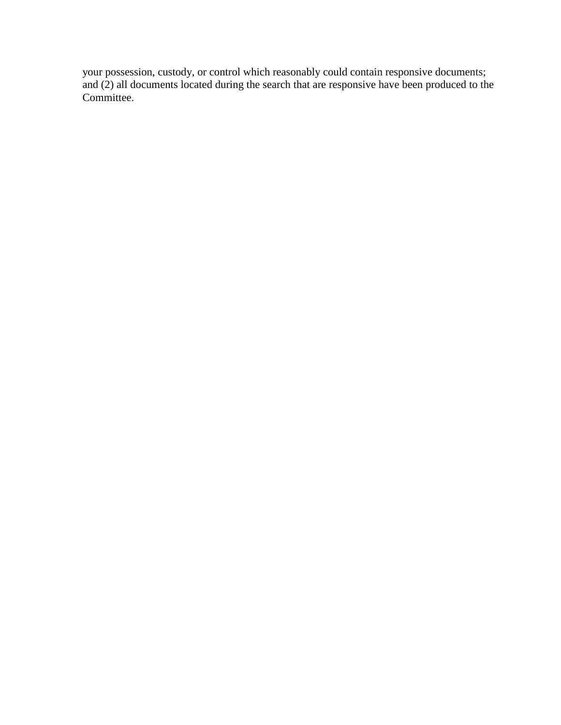your possession, custody, or control which reasonably could contain responsive documents; and (2) all documents located during the search that are responsive have been produced to the Committee.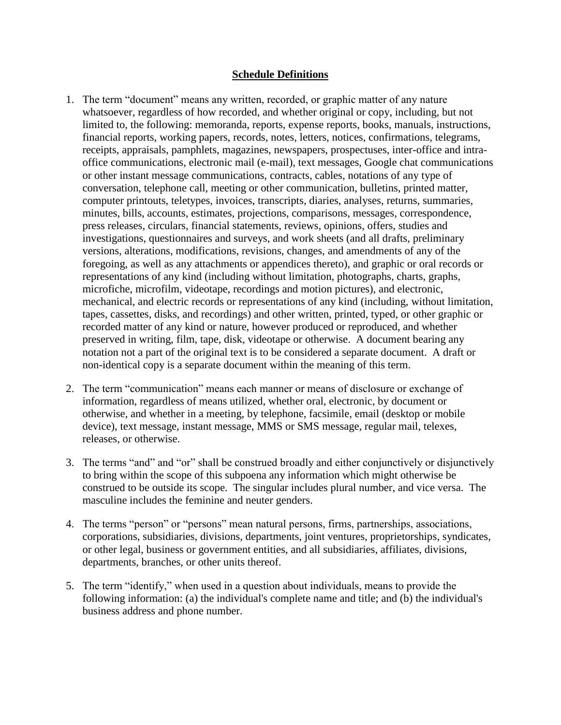## **Schedule Definitions**

- 1. The term "document" means any written, recorded, or graphic matter of any nature whatsoever, regardless of how recorded, and whether original or copy, including, but not limited to, the following: memoranda, reports, expense reports, books, manuals, instructions, financial reports, working papers, records, notes, letters, notices, confirmations, telegrams, receipts, appraisals, pamphlets, magazines, newspapers, prospectuses, inter-office and intraoffice communications, electronic mail (e-mail), text messages, Google chat communications or other instant message communications, contracts, cables, notations of any type of conversation, telephone call, meeting or other communication, bulletins, printed matter, computer printouts, teletypes, invoices, transcripts, diaries, analyses, returns, summaries, minutes, bills, accounts, estimates, projections, comparisons, messages, correspondence, press releases, circulars, financial statements, reviews, opinions, offers, studies and investigations, questionnaires and surveys, and work sheets (and all drafts, preliminary versions, alterations, modifications, revisions, changes, and amendments of any of the foregoing, as well as any attachments or appendices thereto), and graphic or oral records or representations of any kind (including without limitation, photographs, charts, graphs, microfiche, microfilm, videotape, recordings and motion pictures), and electronic, mechanical, and electric records or representations of any kind (including, without limitation, tapes, cassettes, disks, and recordings) and other written, printed, typed, or other graphic or recorded matter of any kind or nature, however produced or reproduced, and whether preserved in writing, film, tape, disk, videotape or otherwise. A document bearing any notation not a part of the original text is to be considered a separate document. A draft or non-identical copy is a separate document within the meaning of this term.
- 2. The term "communication" means each manner or means of disclosure or exchange of information, regardless of means utilized, whether oral, electronic, by document or otherwise, and whether in a meeting, by telephone, facsimile, email (desktop or mobile device), text message, instant message, MMS or SMS message, regular mail, telexes, releases, or otherwise.
- 3. The terms "and" and "or" shall be construed broadly and either conjunctively or disjunctively to bring within the scope of this subpoena any information which might otherwise be construed to be outside its scope. The singular includes plural number, and vice versa. The masculine includes the feminine and neuter genders.
- 4. The terms "person" or "persons" mean natural persons, firms, partnerships, associations, corporations, subsidiaries, divisions, departments, joint ventures, proprietorships, syndicates, or other legal, business or government entities, and all subsidiaries, affiliates, divisions, departments, branches, or other units thereof.
- 5. The term "identify," when used in a question about individuals, means to provide the following information: (a) the individual's complete name and title; and (b) the individual's business address and phone number.